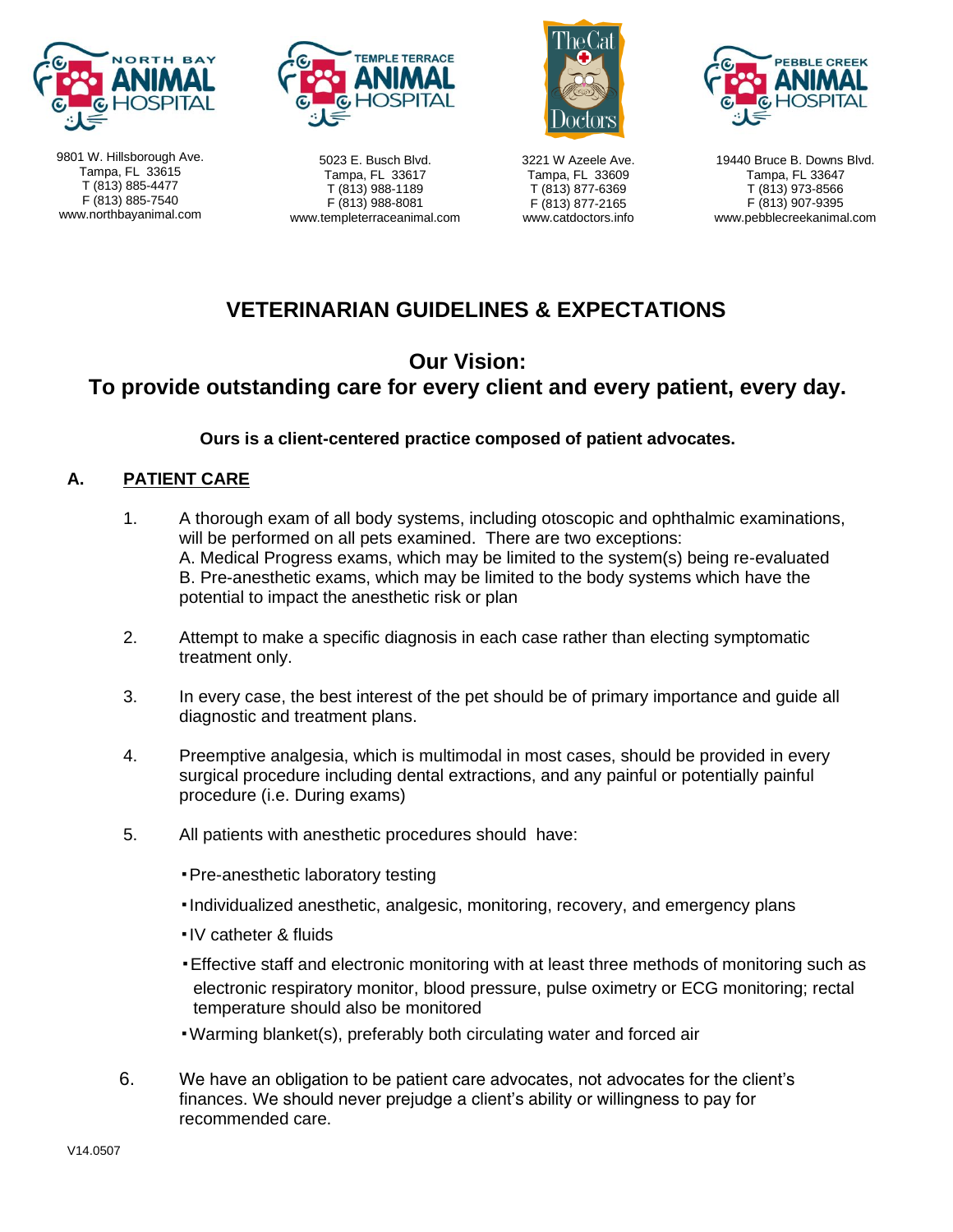

9801 W. Hillsborough Ave. Tampa, FL 33615 T (813) 885-4477 F (813) 885-7540 www.northbayanimal.com



5023 E. Busch Blvd. Tampa, FL 33617 T (813) 988-1189 F (813) 988-8081 www.templeterraceanimal.com



3221 W Azeele Ave. Tampa, FL 33609 T (813) 877-6369 F (813) 877-2165 www.catdoctors.info



19440 Bruce B. Downs Blvd. Tampa, FL 33647 T (813) 973-8566 F (813) 907-9395 www.pebblecreekanimal.com

# **VETERINARIAN GUIDELINES & EXPECTATIONS**

### **Our Vision:**

# **To provide outstanding care for every client and every patient, every day.**

**Ours is a client-centered practice composed of patient advocates.**

### **A. PATIENT CARE**

- 1. A thorough exam of all body systems, including otoscopic and ophthalmic examinations, will be performed on all pets examined. There are two exceptions: A. Medical Progress exams, which may be limited to the system(s) being re-evaluated B. Pre-anesthetic exams, which may be limited to the body systems which have the potential to impact the anesthetic risk or plan
- 2. Attempt to make a specific diagnosis in each case rather than electing symptomatic treatment only.
- 3. In every case, the best interest of the pet should be of primary importance and guide all diagnostic and treatment plans.
- 4. Preemptive analgesia, which is multimodal in most cases, should be provided in every surgical procedure including dental extractions, and any painful or potentially painful procedure (i.e. During exams)
- 5. All patients with anesthetic procedures should have:
	- ▪Pre-anesthetic laboratory testing
	- ▪Individualized anesthetic, analgesic, monitoring, recovery, and emergency plans
	- ▪IV catheter & fluids
	- ▪Effective staff and electronic monitoring with at least three methods of monitoring such as electronic respiratory monitor, blood pressure, pulse oximetry or ECG monitoring; rectal temperature should also be monitored
	- ▪Warming blanket(s), preferably both circulating water and forced air
- 6. We have an obligation to be patient care advocates, not advocates for the client's finances. We should never prejudge a client's ability or willingness to pay for recommended care.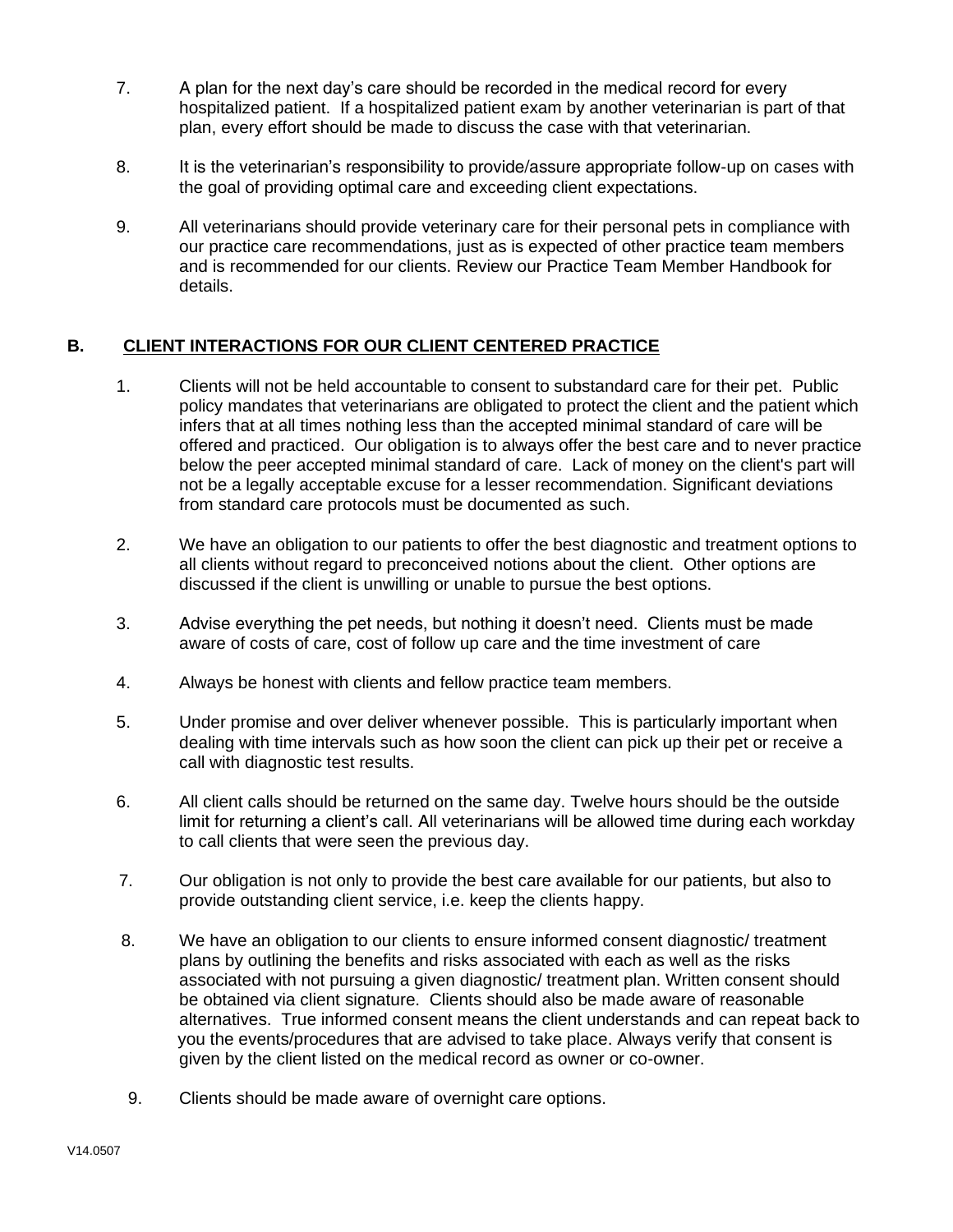- 7. A plan for the next day's care should be recorded in the medical record for every hospitalized patient. If a hospitalized patient exam by another veterinarian is part of that plan, every effort should be made to discuss the case with that veterinarian.
- 8. It is the veterinarian's responsibility to provide/assure appropriate follow-up on cases with the goal of providing optimal care and exceeding client expectations.
- 9. All veterinarians should provide veterinary care for their personal pets in compliance with our practice care recommendations, just as is expected of other practice team members and is recommended for our clients. Review our Practice Team Member Handbook for details.

### **B. CLIENT INTERACTIONS FOR OUR CLIENT CENTERED PRACTICE**

- 1. Clients will not be held accountable to consent to substandard care for their pet. Public policy mandates that veterinarians are obligated to protect the client and the patient which infers that at all times nothing less than the accepted minimal standard of care will be offered and practiced. Our obligation is to always offer the best care and to never practice below the peer accepted minimal standard of care. Lack of money on the client's part will not be a legally acceptable excuse for a lesser recommendation. Significant deviations from standard care protocols must be documented as such.
- 2. We have an obligation to our patients to offer the best diagnostic and treatment options to all clients without regard to preconceived notions about the client. Other options are discussed if the client is unwilling or unable to pursue the best options.
- 3. Advise everything the pet needs, but nothing it doesn't need. Clients must be made aware of costs of care, cost of follow up care and the time investment of care
- 4. Always be honest with clients and fellow practice team members.
- 5. Under promise and over deliver whenever possible. This is particularly important when dealing with time intervals such as how soon the client can pick up their pet or receive a call with diagnostic test results.
- 6. All client calls should be returned on the same day. Twelve hours should be the outside limit for returning a client's call. All veterinarians will be allowed time during each workday to call clients that were seen the previous day.
- 7. Our obligation is not only to provide the best care available for our patients, but also to provide outstanding client service, i.e. keep the clients happy.
- 8. We have an obligation to our clients to ensure informed consent diagnostic/ treatment plans by outlining the benefits and risks associated with each as well as the risks associated with not pursuing a given diagnostic/ treatment plan. Written consent should be obtained via client signature. Clients should also be made aware of reasonable alternatives. True informed consent means the client understands and can repeat back to you the events/procedures that are advised to take place. Always verify that consent is given by the client listed on the medical record as owner or co-owner.
- 9. Clients should be made aware of overnight care options.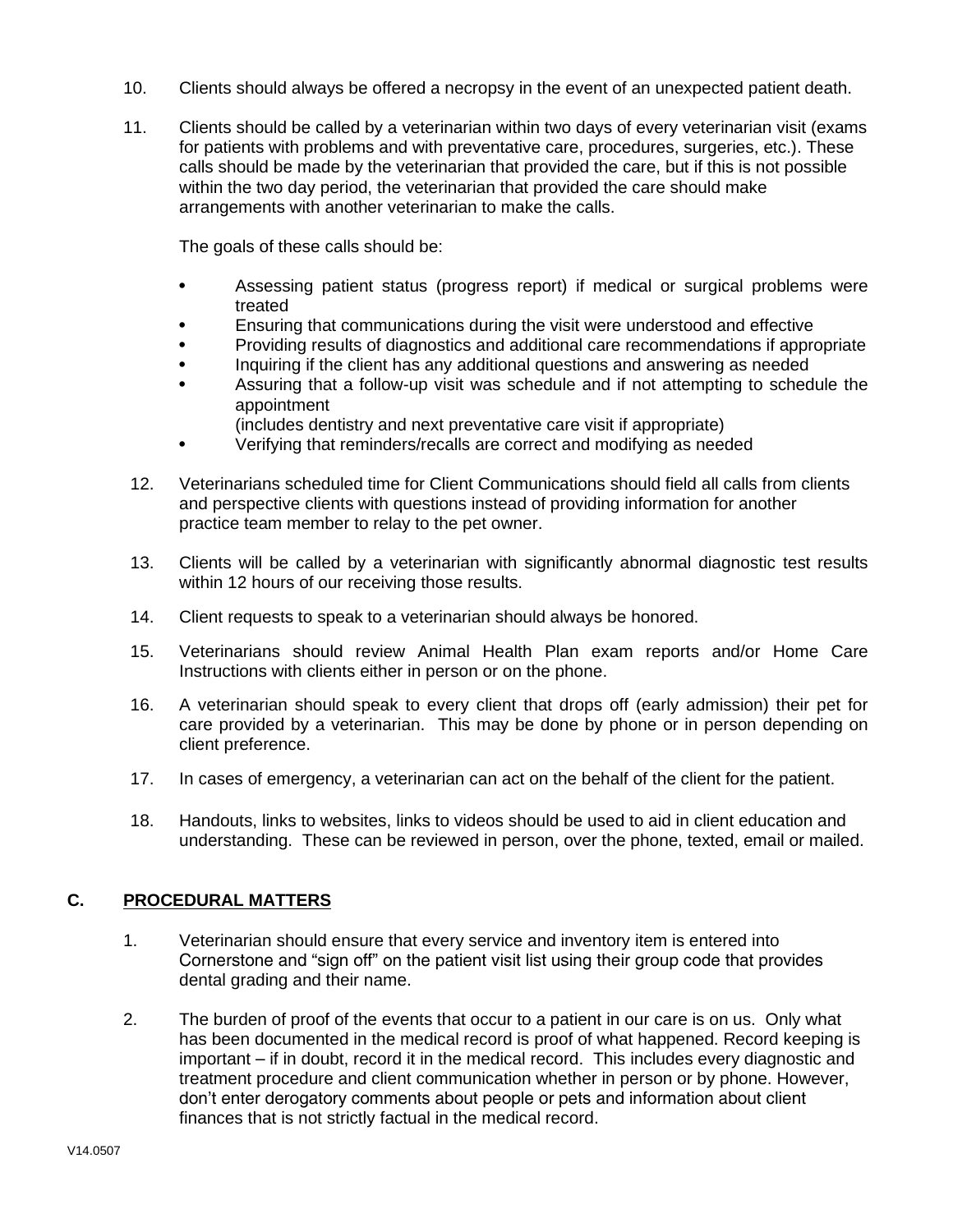- 10. Clients should always be offered a necropsy in the event of an unexpected patient death.
- 11. Clients should be called by a veterinarian within two days of every veterinarian visit (exams for patients with problems and with preventative care, procedures, surgeries, etc.). These calls should be made by the veterinarian that provided the care, but if this is not possible within the two day period, the veterinarian that provided the care should make arrangements with another veterinarian to make the calls.

The goals of these calls should be:

- Assessing patient status (progress report) if medical or surgical problems were treated
- Ensuring that communications during the visit were understood and effective
- Providing results of diagnostics and additional care recommendations if appropriate
- Inquiring if the client has any additional questions and answering as needed
- Assuring that a follow-up visit was schedule and if not attempting to schedule the appointment
	- (includes dentistry and next preventative care visit if appropriate)
- Verifying that reminders/recalls are correct and modifying as needed
- 12. Veterinarians scheduled time for Client Communications should field all calls from clients and perspective clients with questions instead of providing information for another practice team member to relay to the pet owner.
- 13. Clients will be called by a veterinarian with significantly abnormal diagnostic test results within 12 hours of our receiving those results.
- 14. Client requests to speak to a veterinarian should always be honored.
- 15. Veterinarians should review Animal Health Plan exam reports and/or Home Care Instructions with clients either in person or on the phone.
- 16. A veterinarian should speak to every client that drops off (early admission) their pet for care provided by a veterinarian. This may be done by phone or in person depending on client preference.
- 17. In cases of emergency, a veterinarian can act on the behalf of the client for the patient.
- 18. Handouts, links to websites, links to videos should be used to aid in client education and understanding. These can be reviewed in person, over the phone, texted, email or mailed.

#### **C. PROCEDURAL MATTERS**

- 1. Veterinarian should ensure that every service and inventory item is entered into Cornerstone and "sign off" on the patient visit list using their group code that provides dental grading and their name.
- 2. The burden of proof of the events that occur to a patient in our care is on us. Only what has been documented in the medical record is proof of what happened. Record keeping is important – if in doubt, record it in the medical record. This includes every diagnostic and treatment procedure and client communication whether in person or by phone. However, don't enter derogatory comments about people or pets and information about client finances that is not strictly factual in the medical record.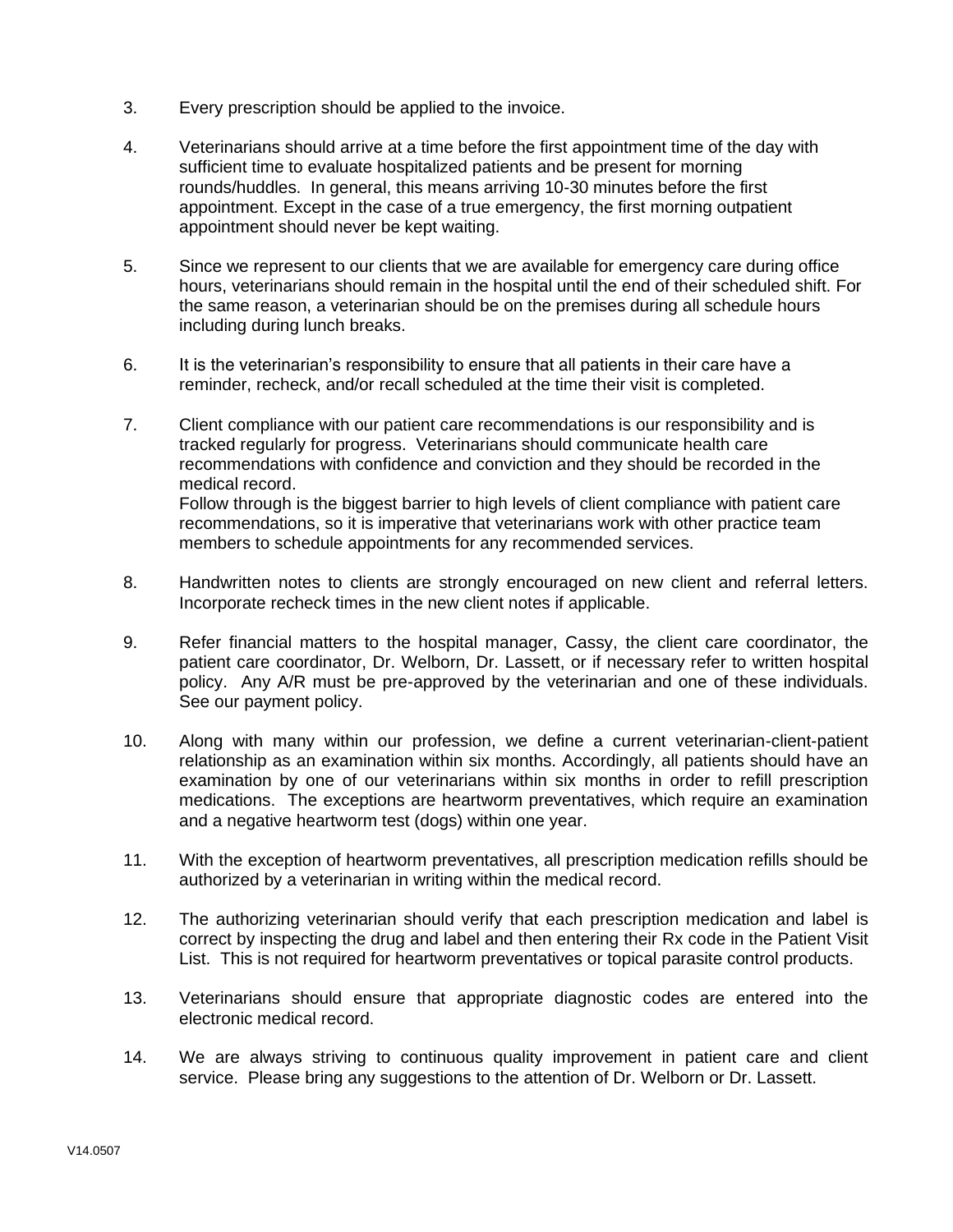- 3. Every prescription should be applied to the invoice.
- 4. Veterinarians should arrive at a time before the first appointment time of the day with sufficient time to evaluate hospitalized patients and be present for morning rounds/huddles. In general, this means arriving 10-30 minutes before the first appointment. Except in the case of a true emergency, the first morning outpatient appointment should never be kept waiting.
- 5. Since we represent to our clients that we are available for emergency care during office hours, veterinarians should remain in the hospital until the end of their scheduled shift. For the same reason, a veterinarian should be on the premises during all schedule hours including during lunch breaks.
- 6. It is the veterinarian's responsibility to ensure that all patients in their care have a reminder, recheck, and/or recall scheduled at the time their visit is completed.
- 7. Client compliance with our patient care recommendations is our responsibility and is tracked regularly for progress. Veterinarians should communicate health care recommendations with confidence and conviction and they should be recorded in the medical record. Follow through is the biggest barrier to high levels of client compliance with patient care recommendations, so it is imperative that veterinarians work with other practice team members to schedule appointments for any recommended services.
- 8. Handwritten notes to clients are strongly encouraged on new client and referral letters. Incorporate recheck times in the new client notes if applicable.
- 9. Refer financial matters to the hospital manager, Cassy, the client care coordinator, the patient care coordinator, Dr. Welborn, Dr. Lassett, or if necessary refer to written hospital policy. Any A/R must be pre-approved by the veterinarian and one of these individuals. See our payment policy.
- 10. Along with many within our profession, we define a current veterinarian-client-patient relationship as an examination within six months. Accordingly, all patients should have an examination by one of our veterinarians within six months in order to refill prescription medications. The exceptions are heartworm preventatives, which require an examination and a negative heartworm test (dogs) within one year.
- 11. With the exception of heartworm preventatives, all prescription medication refills should be authorized by a veterinarian in writing within the medical record.
- 12. The authorizing veterinarian should verify that each prescription medication and label is correct by inspecting the drug and label and then entering their Rx code in the Patient Visit List. This is not required for heartworm preventatives or topical parasite control products.
- 13. Veterinarians should ensure that appropriate diagnostic codes are entered into the electronic medical record.
- 14. We are always striving to continuous quality improvement in patient care and client service. Please bring any suggestions to the attention of Dr. Welborn or Dr. Lassett.